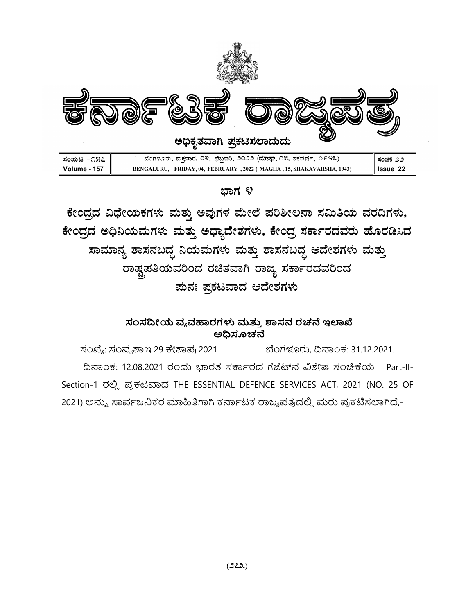

# ಬಾಗ ೪

ಕೇಂದ್ರದ ವಿಧೇಯಕಗಳು ಮತ್ತು ಅವುಗಳ ಮೇಲೆ ಪರಿಶೀಲನಾ ಸಮಿತಿಯ ವರದಿಗಳು, ಕೇಂದ್ರದ ಅಧಿನಿಯಮಗಳು ಮತ್ತು ಅಧ್ಯಾದೇಶಗಳು, ಕೇಂದ್ರ ಸರ್ಕಾರದವರು ಹೊರಡಿಸಿದ ಸಾಮಾನ್ಯ ಶಾಸನಬದ್ಧ ನಿಯಮಗಳು ಮತ್ತು ಶಾಸನಬದ್ಧ ಆದೇಶಗಳು ಮತ್ತು ರಾಷ್ಟ್ರಪತಿಯವರಿಂದ ರಚಿತವಾಗಿ ರಾಜ್ಯ ಸರ್ಕಾರದವರಿಂದ **ಪುನಃ ಪ್ರಕಟವಾದ ಆದೇಶಗಳು** ಒ: ವ ๎ಇ 29 ಄๎ಪ 2021 ಂಗิฆ, ൽකಂಕ: 31.12.2021. ൽකಂಕ: 12.08.2021 ฏൿ ූರತ ಸ౽ბರದ ಡ೬ഡನ เ๕ಷ ಃಯ Part-II-

## ಸಂಸದೀಯ ವ್ಯವಹಾರಗಳು ಮತ್ತು ಶಾಸನ ರಚನೆ ಇಲಾಖೆ ಅಧಿಸೂಚನೆ

Section-1 ರಲ್ಲಿ ಪ್ರಕಟವಾದ THE ESSENTIAL DEFENCE SERVICES ACT, 2021 (NO. 25 OF 2021) ಅನ್ನು ಸಾರ್ವಜನಿಕರ ಮಾಹಿತಿಗಾಗಿ ಕರ್ನಾಟಕ ರಾಜ್ಯಪತ್ರದಲ್ಲಿ ಮರು ಪ್ರಕಟಿಸಲಾಗಿದೆ,-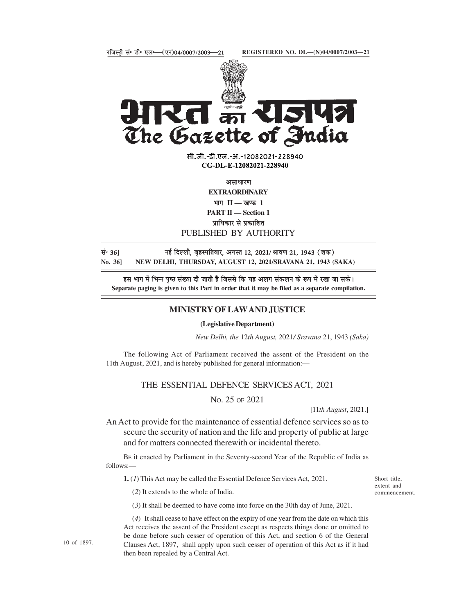

**Che Gazette of Andia**<br>  $\pi$ . 36] NEW DELHI, THURSDAY, AUGUST 12, 2021/378940<br>
THE THE SECTION CO-DI-PASSACAL 228940<br>
THE THE SECTION CO-DI-PASSACAL 228940<br>
THE THE SECTION THE SECTION TO THE SECTION THE SECTION THE SECTI

सी.जी.-डी.एल.-अ.-12082021-228940 CG-DL-E-12082021-228940

**EXTRAORDINARY** 

भाग $\Pi$  - खण्ड 1 PART II - Section 1

PUBLISHED BY AUTHORITY

सं॰ 36] तई दिल्ली, बृहस्पतिवार, अगस्त 12, 2021/ श्रावण 21, 1943 (शक)

Separate paging is given to this Part in order that it may be filed as a separate compilation.

#### MINISTRY OF LAW AND JUSTICE

#### (Legislative Department)

New Delhi, the 12th August, 2021/ Sravana 21, 1943 (Saka)

The following Act of Parliament received the assent of the President on the 11th August, 2021, and is hereby published for general information:—

### THE ESSENTIAL DEFENCE SERVICES ACT, 2021

NO. 25 OF 2021

[11th August, 2021.]

Short title, extent and commencement.

An Act to provide for the maintenance of essential defence services so as to secure the security of nation and the life and property of public at large and for matters connected therewith or incidental thereto.

BE it enacted by Parliament in the Seventy-second Year of the Republic of India as follows:—

1. (1) This Act may be called the Essential Defence Services Act, 2021.

(2) It extends to the whole of India.

(3) It shall be deemed to have come into force on the 30th day of June, 2021.

(4) It shall cease to have effect on the expiry of one year from the date on which this Act receives the assent of the President except as respects things done or omitted to be done before such cesser of operation of this Act, and section 6 of the General Clauses Act, 1897, shall apply upon such cesser of operation of this Act as if it had 10 of 1897. then been repealed by a Central Act.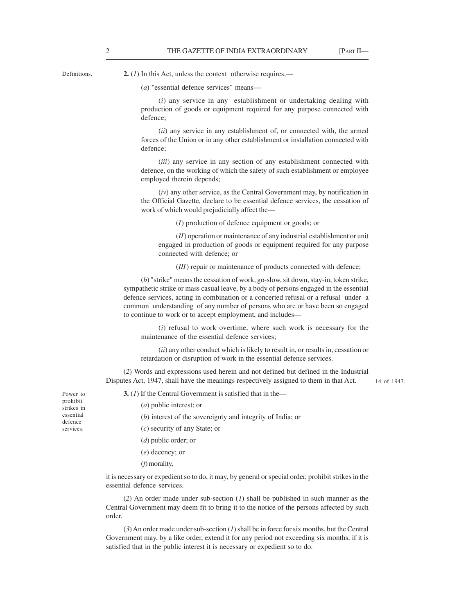prohibit essential defence services.

Definitions. **2.** (1) In this Act, unless the context otherwise requires,—

(a) "essential defence services" means—

THE GAZETTE OF INDIA EXTRAORDINARY [PART II—2. (1) In this Act, unless the context otherwise requires,—<br>
(a) "essential defence services" means—<br>
(i) any service in any establishment or undertaking dealing with (i) any service in any establishment or undertaking dealing with production of goods or equipment required for any purpose connected with defence;

(ii) any service in any establishment of, or connected with, the armed forces of the Union or in any other establishment or installation connected with defence;

(*iii*) any service in any section of any establishment connected with defence, on the working of which the safety of such establishment or employee employed therein depends;

(iv) any other service, as the Central Government may, by notification in the Official Gazette, declare to be essential defence services, the cessation of work of which would prejudicially affect the—

(I) production of defence equipment or goods; or

 $(II)$  operation or maintenance of any industrial establishment or unit engaged in production of goods or equipment required for any purpose connected with defence; or

(III) repair or maintenance of products connected with defence;

(b) "strike" means the cessation of work, go-slow, sit down, stay-in, token strike, sympathetic strike or mass casual leave, by a body of persons engaged in the essential defence services, acting in combination or a concerted refusal or a refusal under a common understanding of any number of persons who are or have been so engaged to continue to work or to accept employment, and includes—

 $(i)$  refusal to work overtime, where such work is necessary for the maintenance of the essential defence services;

(ii) any other conduct which is likely to result in, or results in, cessation or retardation or disruption of work in the essential defence services.

(2) Words and expressions used herein and not defined but defined in the Industrial Disputes Act, 1947, shall have the meanings respectively assigned to them in that Act. 14 of 1947.

Power to  $3. (1)$  If the Central Government is satisfied that in the —

strikes in (*a*) public interest; or

(b) interest of the sovereignty and integrity of India; or

- (c) security of any State; or
- (d) public order; or
- (e) decency; or
- (f) morality,

it is necessary or expedient so to do, it may, by general or special order, prohibit strikes in the essential defence services.

(2) An order made under sub-section  $(I)$  shall be published in such manner as the Central Government may deem fit to bring it to the notice of the persons affected by such order.

 $(3)$  An order made under sub-section (1) shall be in force for six months, but the Central Government may, by a like order, extend it for any period not exceeding six months, if it is satisfied that in the public interest it is necessary or expedient so to do.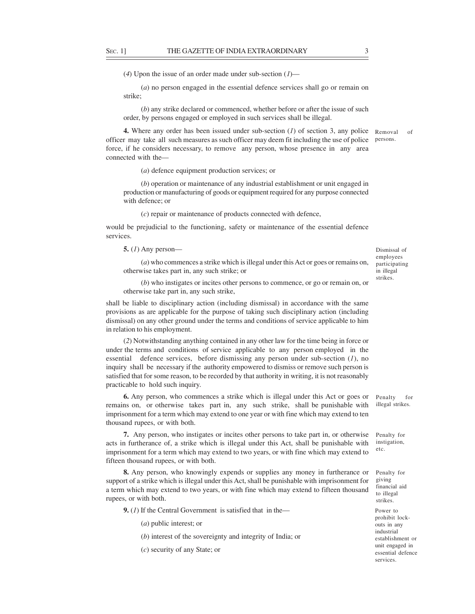(4) Upon the issue of an order made under sub-section  $(I)$ —

SEC. 1] THE GAZETTE OF INDIA EXTRAORDINARY 3<br>
(4) Upon the issue of an order made under sub-section (1)—<br>
(a) no person engaged in the essential defence services shall go or remain on strike; (a) no person engaged in the essential defence services shall go or remain on strike;

(b) any strike declared or commenced, whether before or after the issue of such order, by persons engaged or employed in such services shall be illegal.

**4.** Where any order has been issued under sub-section  $(I)$  of section 3, any police Removal of officer may take all such measures as such officer may deem fit including the use of police persons. force, if he considers necessary, to remove any person, whose presence in any area connected with the—

(a) defence equipment production services; or

(b) operation or maintenance of any industrial establishment or unit engaged in production or manufacturing of goods or equipment required for any purpose connected with defence; or

(c) repair or maintenance of products connected with defence,

would be prejudicial to the functioning, safety or maintenance of the essential defence services.

5. (1) Any person—

(a) who commences a strike which is illegal under this Act or goes or remains on, otherwise takes part in, any such strike; or

(b) who instigates or incites other persons to commence, or go or remain on, or otherwise take part in, any such strike,

shall be liable to disciplinary action (including dismissal) in accordance with the same provisions as are applicable for the purpose of taking such disciplinary action (including dismissal) on any other ground under the terms and conditions of service applicable to him in relation to his employment.

(2) Notwithstanding anything contained in any other law for the time being in force or under the terms and conditions of service applicable to any person employed in the essential defence services, before dismissing any person under sub-section  $(I)$ , no inquiry shall be necessary if the authority empowered to dismiss or remove such person is satisfied that for some reason, to be recorded by that authority in writing, it is not reasonably practicable to hold such inquiry.

**6.** Any person, who commences a strike which is illegal under this Act or goes or Penalty for remains on, or otherwise takes part in, any such strike, shall be punishable with imprisonment for a term which may extend to one year or with fine which may extend to ten thousand rupees, or with both.

7. Any person, who instigates or incites other persons to take part in, or otherwise acts in furtherance of, a strike which is illegal under this Act, shall be punishable with imprisonment for a term which may extend to two years, or with fine which may extend to fifteen thousand rupees, or with both.

8. Any person, who knowingly expends or supplies any money in furtherance or support of a strike which is illegal under this Act, shall be punishable with imprisonment for giving a term which may extend to two years, or with fine which may extend to fifteen thousand rupees, or with both.

9. (1) If the Central Government is satisfied that in the—

(a) public interest; or

(b) interest of the sovereignty and integrity of India; or

(c) security of any State; or

Dismissal of employees participating in illegal strikes.

Penalty illegal strikes.

Penalty for instigation, etc.

Penalty for giving financial aid to illegal strikes.

Power to prohibit lockouts in any industrial establishment or unit engaged in essential defence services.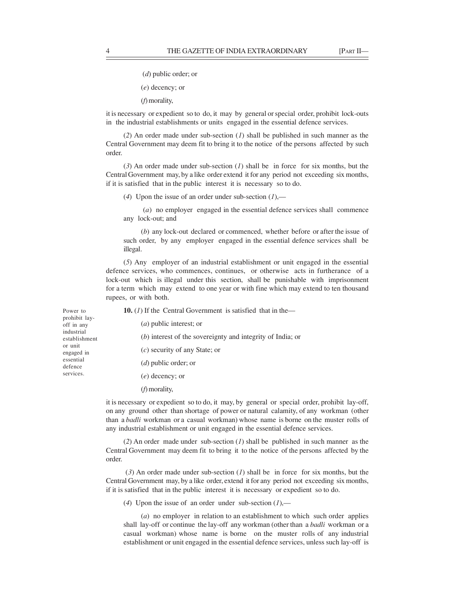(d) public order; or

(e) decency; or

(f) morality,

it is necessary or expedient so to do, it may by general or special order, prohibit lock-outs in the industrial establishments or units engaged in the essential defence services.

(2) An order made under sub-section  $(I)$  shall be published in such manner as the Central Government may deem fit to bring it to the notice of the persons affected by such order.

(3) An order made under sub-section  $(I)$  shall be in force for six months, but the Central Government may, by a like order extend it for any period not exceeding six months, if it is satisfied that in the public interest it is necessary so to do.

(4) Upon the issue of an order under sub-section  $(1)$ ,—

 (a) no employer engaged in the essential defence services shall commence any lock-out; and

(b) any lock-out declared or commenced, whether before or after the issue of such order, by any employer engaged in the essential defence services shall be illegal.

(5) Any employer of an industrial establishment or unit engaged in the essential defence services, who commences, continues, or otherwise acts in furtherance of a lock-out which is illegal under this section, shall be punishable with imprisonment for a term which may extend to one year or with fine which may extend to ten thousand rupees, or with both.

Power to  $10. (1)$  If the Central Government is satisfied that in the—

 $\int_{\text{off in any}}^{r}$  (*a*) public interest; or (b) interest of the sovereignty and integrity of India; or  $(c)$  security of any State; or engaged in (d) public order; or defence (e) decency; or

(f) morality,

it is necessary or expedient so to do, it may, by general or special order, prohibit lay-off, on any ground other than shortage of power or natural calamity, of any workman (other than a *badli* workman or a casual workman) whose name is borne on the muster rolls of any industrial establishment or unit engaged in the essential defence services.

(2) An order made under sub-section  $(1)$  shall be published in such manner as the Central Government may deem fit to bring it to the notice of the persons affected by the order.

(3) An order made under sub-section  $(I)$  shall be in force for six months, but the Central Government may, by a like order, extend it for any period not exceeding six months, if it is satisfied that in the public interest it is necessary or expedient so to do.

(4) Upon the issue of an order under sub-section  $(I)$ ,—

(a) no employer in relation to an establishment to which such order applies shall lay-off or continue the lay-off any workman (other than a badli workman or a casual workman) whose name is borne on the muster rolls of any industrial establishment or unit engaged in the essential defence services, unless such lay-off is

prohibit layindustrial establishment or unit

essential services.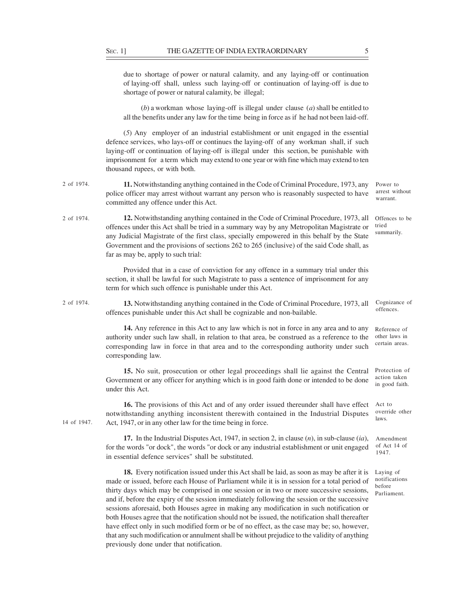SEC. 1] THE GAZETTE OF INDIA EXTRAORDINARY 5<br>due to shortage of power or natural calamity, and any laying-off or continuation<br>of laying-off shall, unless such laying-off or continuation of laying-off is due to<br>shortage of due to shortage of power or natural calamity, and any laying-off or continuation of laying-off shall, unless such laying-off or continuation of laying-off is due to shortage of power or natural calamity, be illegal;

(b) a workman whose laying-off is illegal under clause  $(a)$  shall be entitled to all the benefits under any law for the time being in force as if he had not been laid-off.

(5) Any employer of an industrial establishment or unit engaged in the essential defence services, who lays-off or continues the laying-off of any workman shall, if such laying-off or continuation of laying-off is illegal under this section, be punishable with imprisonment for a term which may extend to one year or with fine which may extend to ten thousand rupees, or with both.

2 of 1974. **11.** Notwithstanding anything contained in the Code of Criminal Procedure, 1973, any Power to police officer may arrest without warrant any person who is reasonably suspected to have committed any offence under this Act.

arrest without warrant.

2 of 1974. **12.** Notwithstanding anything contained in the Code of Criminal Procedure, 1973, all Offences to be offences under this Act shall be tried in a summary way by any Metropolitan Magistrate or tried summarily.

> Laying of notifications

Parliament.

before **b** 

far as may be, apply to such trial: Provided that in a case of conviction for any offence in a summary trial under this

any Judicial Magistrate of the first class, specially empowered in this behalf by the State Government and the provisions of sections 262 to 265 (inclusive) of the said Code shall, as

section, it shall be lawful for such Magistrate to pass a sentence of imprisonment for any term for which such offence is punishable under this Act.

2 of 1974. **13.** Notwithstanding anything contained in the Code of Criminal Procedure, 1973, all Cognizance of offences punishable under this Act shall be cognizable and non-bailable. offences.

14. Any reference in this Act to any law which is not in force in any area and to any authority under such law shall, in relation to that area, be construed as a reference to the corresponding law in force in that area and to the corresponding authority under such corresponding law. Reference of other laws in certain areas.

15. No suit, prosecution or other legal proceedings shall lie against the Central Government or any officer for anything which is in good faith done or intended to be done under this Act. Protection of action taken in good faith.

16. The provisions of this Act and of any order issued thereunder shall have effect Act to notwithstanding anything inconsistent therewith contained in the Industrial Disputes Act, 1947, or in any other law for the time being in force. 14 of 1947. Act to see that the set of the set of the set of the set of the set of the set of the set of the set of the set of the set of the set of the set of the set of the set of the set of the set of the set of the set of the set override other laws.

17. In the Industrial Disputes Act, 1947, in section 2, in clause  $(n)$ , in sub-clause  $(ia)$ , for the words "or dock", the words "or dock or any industrial establishment or unit engaged in essential defence services" shall be substituted. Amendment of Act 14 of 1947.

18. Every notification issued under this Act shall be laid, as soon as may be after it is made or issued, before each House of Parliament while it is in session for a total period of notific thirty days which may be comprised in one session or in two or more successive sessions, and if, before the expiry of the session immediately following the session or the successive sessions aforesaid, both Houses agree in making any modification in such notification or both Houses agree that the notification should not be issued, the notification shall thereafter have effect only in such modified form or be of no effect, as the case may be; so, however, that any such modification or annulment shall be without prejudice to the validity of anything previously done under that notification.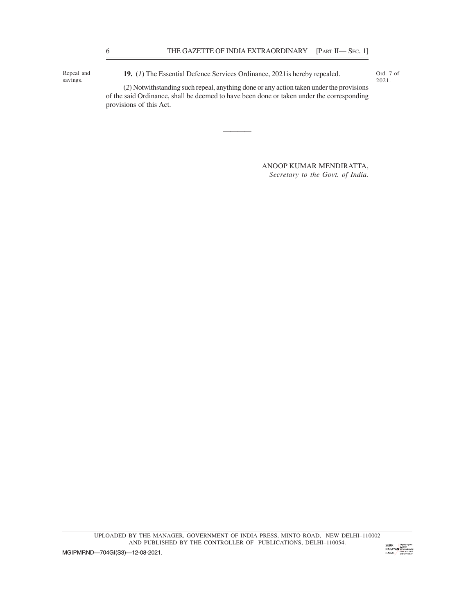savings.

Repeal and **19.** (*1*) The Essential Defence Services Ordinance, 2021 is hereby repealed. Ord. 7 of

Ord. 7 of 2021.

and the contract of the contract of the contract of the contract of the contract of the contract of the contra<br>And the contract of the contract of the contract of the contract of the contract of the contract of the contra

(2) Notwithstanding such repeal, anything done or any action taken under the provisions of the said Ordinance, shall be deemed to have been done or taken under the corresponding provisions of this Act. THE GAZETTE OF INDIA EXTRAORDINARY [PART II— SEC. 1]<br>
19. (1) The Essential Defence Services Ordinance, 2021 is hereby repealed. Ord. 7 of<br>
(2) Notwithstanding such repeal, anything done or any action taken under the provi

> ANOOP KUMAR MENDIRATTA, Secretary to the Govt. of India.

UPLOADED BY THE MANAGER, GOVERNMENT OF INDIA PRESS, MINTO ROAD, NEW DELHI–110002 AND PUBLISHED BY THE CONTROLLER OF PUBLICATIONS, DELHI–110054.<br>  $-12-08-2021$ .